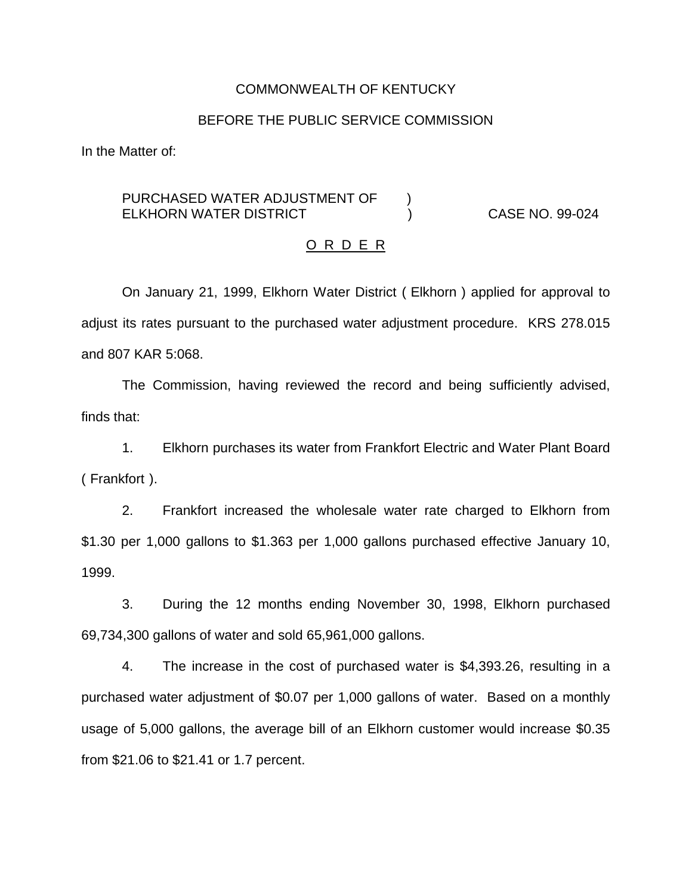#### COMMONWEALTH OF KENTUCKY

### BEFORE THE PUBLIC SERVICE COMMISSION

In the Matter of:

# PURCHASED WATER ADJUSTMENT OF  $\qquad$  ) ELKHORN WATER DISTRICT ) CASE NO. 99-024

#### O R D E R

On January 21, 1999, Elkhorn Water District ( Elkhorn ) applied for approval to adjust its rates pursuant to the purchased water adjustment procedure. KRS 278.015 and 807 KAR 5:068.

The Commission, having reviewed the record and being sufficiently advised, finds that:

1. Elkhorn purchases its water from Frankfort Electric and Water Plant Board ( Frankfort ).

2. Frankfort increased the wholesale water rate charged to Elkhorn from \$1.30 per 1,000 gallons to \$1.363 per 1,000 gallons purchased effective January 10, 1999.

3. During the 12 months ending November 30, 1998, Elkhorn purchased 69,734,300 gallons of water and sold 65,961,000 gallons.

4. The increase in the cost of purchased water is \$4,393.26, resulting in a purchased water adjustment of \$0.07 per 1,000 gallons of water. Based on a monthly usage of 5,000 gallons, the average bill of an Elkhorn customer would increase \$0.35 from \$21.06 to \$21.41 or 1.7 percent.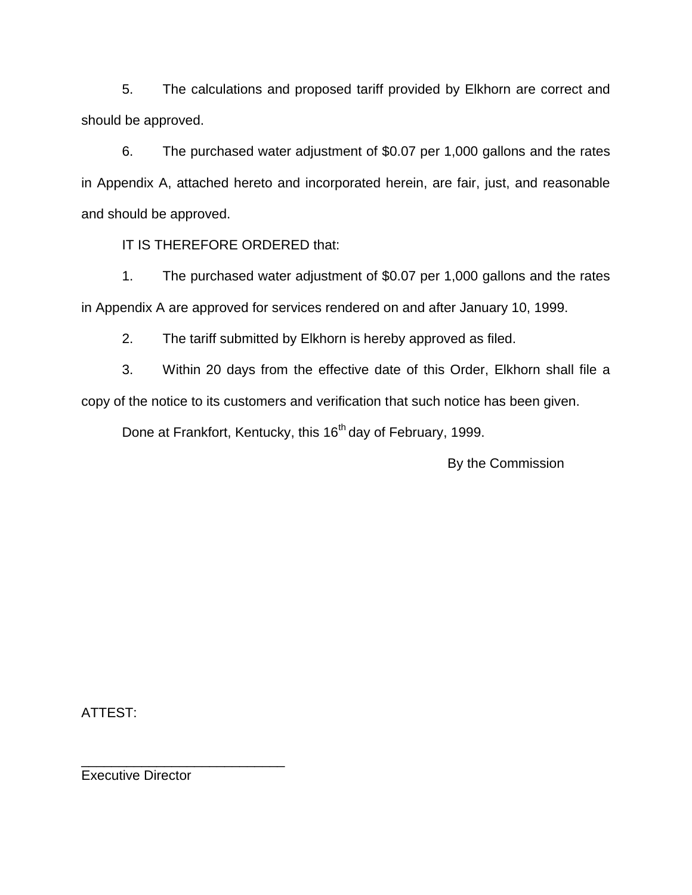5. The calculations and proposed tariff provided by Elkhorn are correct and should be approved.

6. The purchased water adjustment of \$0.07 per 1,000 gallons and the rates in Appendix A, attached hereto and incorporated herein, are fair, just, and reasonable and should be approved.

IT IS THEREFORE ORDERED that:

1. The purchased water adjustment of \$0.07 per 1,000 gallons and the rates in Appendix A are approved for services rendered on and after January 10, 1999.

2. The tariff submitted by Elkhorn is hereby approved as filed.

3. Within 20 days from the effective date of this Order, Elkhorn shall file a copy of the notice to its customers and verification that such notice has been given.

Done at Frankfort, Kentucky, this 16<sup>th</sup> day of February, 1999.

By the Commission

ATTEST:

Executive Director

\_\_\_\_\_\_\_\_\_\_\_\_\_\_\_\_\_\_\_\_\_\_\_\_\_\_\_